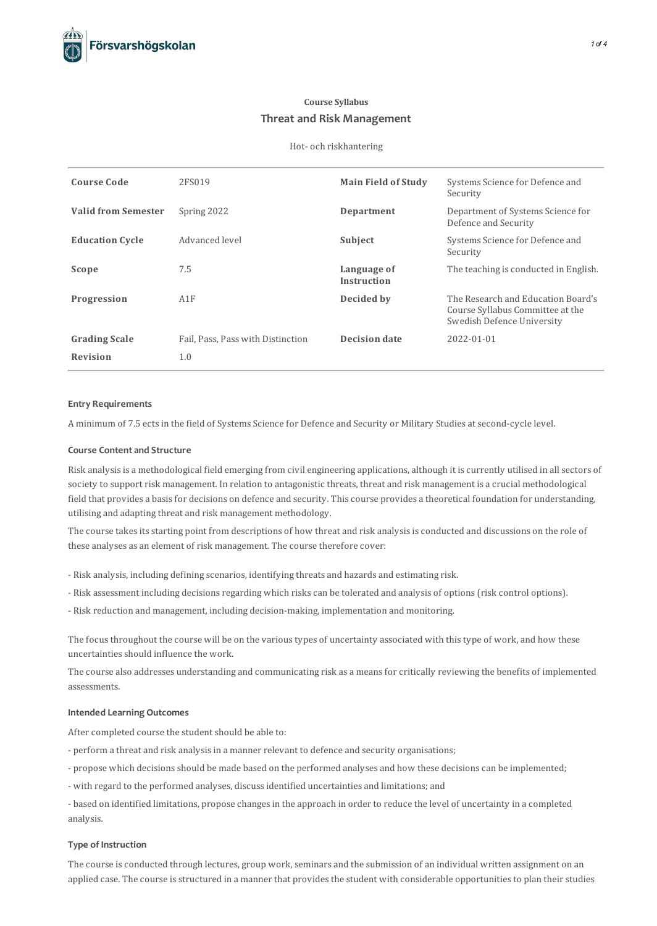## **Course Syllabus Threat and Risk Management**

#### Hot- och riskhantering

| <b>Course Code</b>         | 2FS019                            | <b>Main Field of Study</b>        | Systems Science for Defence and<br>Security                                                          |
|----------------------------|-----------------------------------|-----------------------------------|------------------------------------------------------------------------------------------------------|
| <b>Valid from Semester</b> | Spring 2022                       | Department                        | Department of Systems Science for<br>Defence and Security                                            |
| <b>Education Cycle</b>     | Advanced level                    | Subject                           | Systems Science for Defence and<br>Security                                                          |
| Scope                      | 7.5                               | Language of<br><b>Instruction</b> | The teaching is conducted in English.                                                                |
| Progression                | A1F                               | Decided by                        | The Research and Education Board's<br>Course Syllabus Committee at the<br>Swedish Defence University |
| <b>Grading Scale</b>       | Fail, Pass, Pass with Distinction | <b>Decision date</b>              | 2022-01-01                                                                                           |
| <b>Revision</b>            | 1.0                               |                                   |                                                                                                      |

## **Entry Requirements**

A minimum of 7.5 ectsin the field of Systems Science for Defence and Security or Military Studies at second-cycle level.

### **Course Contentand Structure**

Risk analysisis a methodological field emerging from civil engineering applications, although it iscurrently utilised in allsectors of society to support risk management. In relation to antagonistic threats, threat and risk management is a crucial methodological field that provides a basis for decisions on defence and security. This course provides a theoretical foundation for understanding, utilising and adapting threat and risk management methodology.

The course takes its starting point from descriptions of how threat and risk analysis is conducted and discussions on the role of these analyses as an element of risk management. The course therefore cover:

- Risk analysis, including defining scenarios, identifying threats and hazards and estimating risk.
- Risk assessment including decisionsregarding which riskscan be tolerated and analysis of options(risk control options).
- Risk reduction and management, including decision-making, implementation and monitoring.

The focus throughout the course will be on the various types of uncertainty associated with this type of work, and how these uncertainties should influence the work.

The course also addresses understanding and communicating risk as a means for critically reviewing the benefits of implemented assessments.

#### **Intended Learning Outcomes**

After completed course the student should be able to:

- perform a threat and risk analysisin a manner relevant to defence and security organisations;
- propose which decisions should be made based on the performed analyses and how these decisions can be implemented;
- with regard to the performed analyses, discussidentified uncertainties and limitations; and

- based on identified limitations, propose changesin the approach in order to reduce the level of uncertainty in a completed analysis.

### **Type of Instruction**

The course is conducted through lectures, group work, seminars and the submission of an individual written assignment on an applied case. The course is structured in a manner that provides the student with considerable opportunities to plan their studies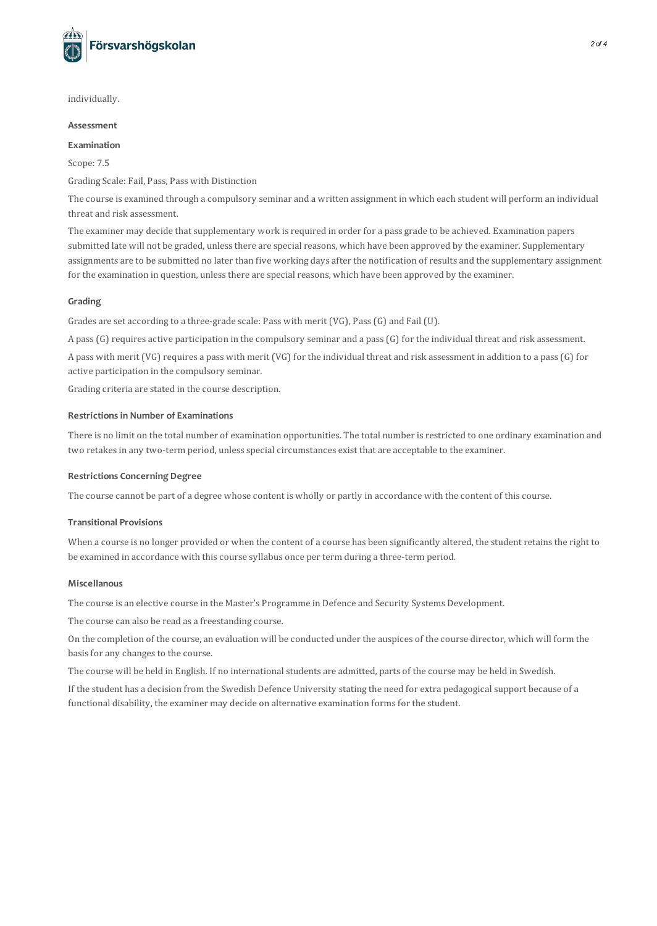

individually.

## **Assessment**

## **Examination**

Scope: 7.5

Grading Scale: Fail, Pass, Pass with Distinction

The course is examined through a compulsory seminar and a written assignment in which each student will perform an individual threat and risk assessment.

The examiner may decide that supplementary work is required in order for a pass grade to be achieved. Examination papers submitted late will not be graded, unless there are special reasons, which have been approved by the examiner. Supplementary assignments are to be submitted no later than five working days after the notification of results and the supplementary assignment for the examination in question, unless there are special reasons, which have been approved by the examiner.

## **Grading**

Grades are set according to a three-grade scale: Pass with merit (VG), Pass (G) and Fail (U).

A pass(G) requires active participation in the compulsory seminar and a pass(G) for the individual threat and risk assessment.

A pass with merit (VG) requires a pass with merit (VG) for the individual threat and risk assessment in addition to a pass(G) for active participation in the compulsory seminar.

Grading criteria are stated in the course description.

## **Restrictionsin Number of Examinations**

There is no limit on the total number of examination opportunities. The total number is restricted to one ordinary examination and two retakes in any two-term period, unless special circumstances exist that are acceptable to the examiner.

#### **Restrictions Concerning Degree**

The course cannot be part of a degree whose content is wholly or partly in accordance with the content of thiscourse.

## **Transitional Provisions**

When a course is no longer provided or when the content of a course has been significantly altered, the student retains the right to be examined in accordance with thiscourse syllabus once per term during a three-term period.

### **Miscellanous**

The course is an elective course in the Master's Programme in Defence and Security Systems Development.

The course can also be read as a freestanding course.

On the completion of the course, an evaluation will be conducted under the auspices of the course director, which will form the basis for any changes to the course.

The course will be held in English. If no international students are admitted, parts of the course may be held in Swedish.

If the student has a decision from the Swedish Defence University stating the need for extra pedagogicalsupport because of a functional disability, the examiner may decide on alternative examination forms for the student.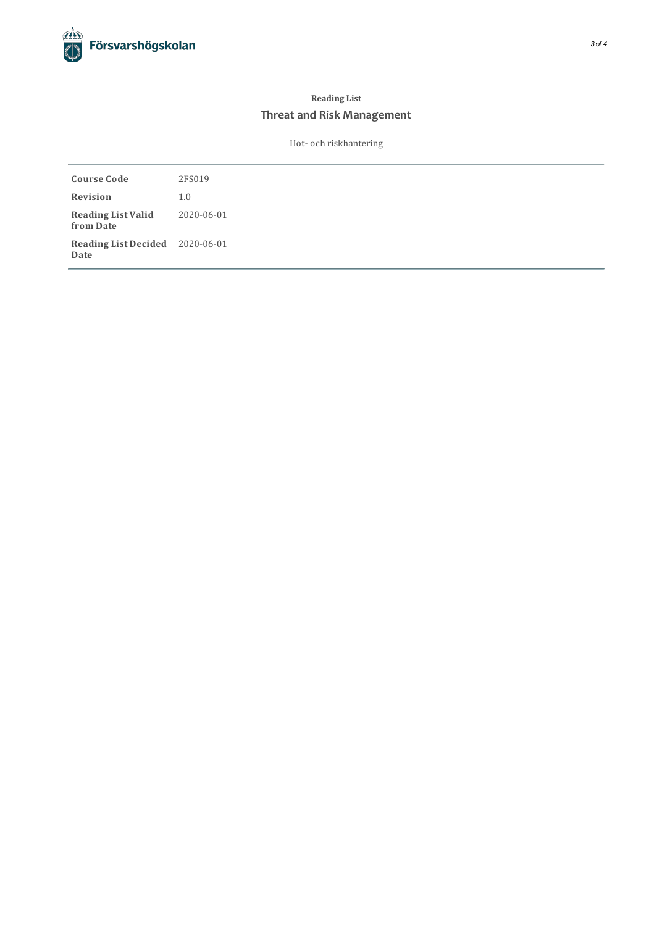# **Reading List Threat and Risk Management**

Hot- och riskhantering

| <b>Course Code</b>                      | 2FS019     |
|-----------------------------------------|------------|
| Revision                                | 1.0        |
| <b>Reading List Valid</b><br>from Date  | 2020-06-01 |
| Reading List Decided 2020-06-01<br>Date |            |